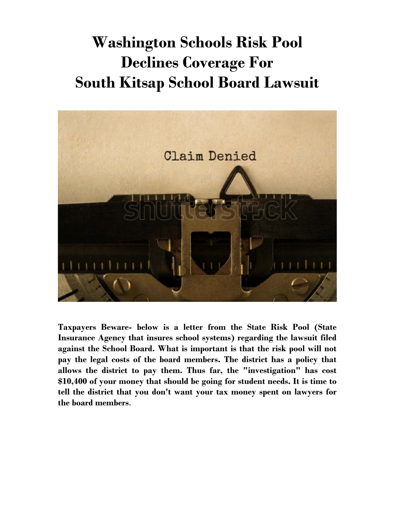## **Washington Schools Risk Pool Declines Coverage For South Kitsap School Board Lawsuit**



**Taxpayers Beware- below is a letter from the State Risk Pool (State Insurance Agency that insures school systems) regarding the lawsuit filed against the School Board. What is important is that the risk pool will not pay the legal costs of the board members. The district has a policy that allows the district to pay them. Thus far, the "investigation" has cost \$10,400 of your money that should be going for student needs. It is time to tell the district that you don't want your tax money spent on lawyers for the board members**.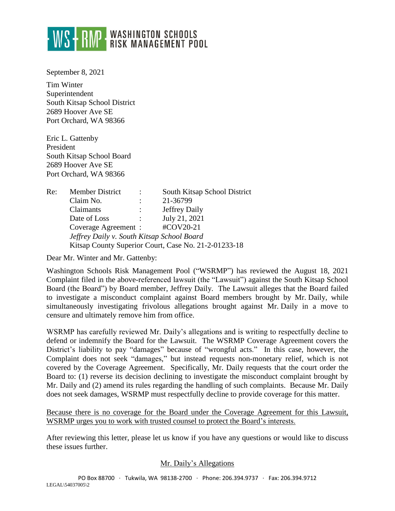

September 8, 2021

Tim Winter Superintendent South Kitsap School District 2689 Hoover Ave SE Port Orchard, WA 98366

Eric L. Gattenby President South Kitsap School Board 2689 Hoover Ave SE Port Orchard, WA 98366

| Re: | Member District                                      | $\ddot{\phantom{0}}$ | South Kitsap School District |
|-----|------------------------------------------------------|----------------------|------------------------------|
|     | Claim No.                                            |                      | 21-36799                     |
|     | Claimants                                            |                      | Jeffrey Daily                |
|     | Date of Loss                                         | $\ddot{\phantom{0}}$ | July 21, 2021                |
|     | Coverage Agreement :                                 |                      | #COV20-21                    |
|     | Jeffrey Daily v. South Kitsap School Board           |                      |                              |
|     | Kitsap County Superior Court, Case No. 21-2-01233-18 |                      |                              |

Dear Mr. Winter and Mr. Gattenby:

Washington Schools Risk Management Pool ("WSRMP") has reviewed the August 18, 2021 Complaint filed in the above-referenced lawsuit (the "Lawsuit") against the South Kitsap School Board (the Board") by Board member, Jeffrey Daily. The Lawsuit alleges that the Board failed to investigate a misconduct complaint against Board members brought by Mr. Daily, while simultaneously investigating frivolous allegations brought against Mr. Daily in a move to censure and ultimately remove him from office.

WSRMP has carefully reviewed Mr. Daily's allegations and is writing to respectfully decline to defend or indemnify the Board for the Lawsuit. The WSRMP Coverage Agreement covers the District's liability to pay "damages" because of "wrongful acts." In this case, however, the Complaint does not seek "damages," but instead requests non-monetary relief, which is not covered by the Coverage Agreement. Specifically, Mr. Daily requests that the court order the Board to: (1) reverse its decision declining to investigate the misconduct complaint brought by Mr. Daily and (2) amend its rules regarding the handling of such complaints. Because Mr. Daily does not seek damages, WSRMP must respectfully decline to provide coverage for this matter.

Because there is no coverage for the Board under the Coverage Agreement for this Lawsuit, WSRMP urges you to work with trusted counsel to protect the Board's interests.

After reviewing this letter, please let us know if you have any questions or would like to discuss these issues further.

## Mr. Daily's Allegations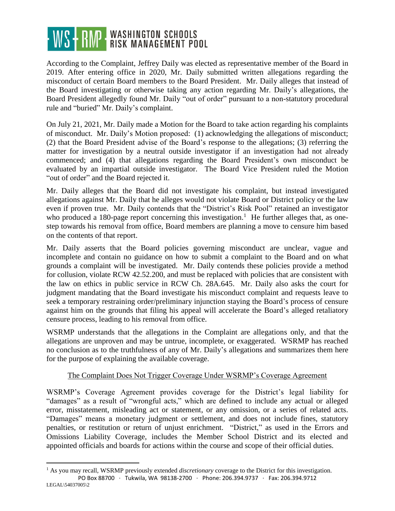## WS - RMP WASHINGTON SCHOOLS

According to the Complaint, Jeffrey Daily was elected as representative member of the Board in 2019. After entering office in 2020, Mr. Daily submitted written allegations regarding the misconduct of certain Board members to the Board President. Mr. Daily alleges that instead of the Board investigating or otherwise taking any action regarding Mr. Daily's allegations, the Board President allegedly found Mr. Daily "out of order" pursuant to a non-statutory procedural rule and "buried" Mr. Daily's complaint.

On July 21, 2021, Mr. Daily made a Motion for the Board to take action regarding his complaints of misconduct. Mr. Daily's Motion proposed: (1) acknowledging the allegations of misconduct; (2) that the Board President advise of the Board's response to the allegations; (3) referring the matter for investigation by a neutral outside investigator if an investigation had not already commenced; and (4) that allegations regarding the Board President's own misconduct be evaluated by an impartial outside investigator. The Board Vice President ruled the Motion "out of order" and the Board rejected it.

Mr. Daily alleges that the Board did not investigate his complaint, but instead investigated allegations against Mr. Daily that he alleges would not violate Board or District policy or the law even if proven true. Mr. Daily contends that the "District's Risk Pool" retained an investigator who produced a 180-page report concerning this investigation.<sup>1</sup> He further alleges that, as onestep towards his removal from office, Board members are planning a move to censure him based on the contents of that report.

Mr. Daily asserts that the Board policies governing misconduct are unclear, vague and incomplete and contain no guidance on how to submit a complaint to the Board and on what grounds a complaint will be investigated. Mr. Daily contends these policies provide a method for collusion, violate RCW 42.52.200, and must be replaced with policies that are consistent with the law on ethics in public service in RCW Ch. 28A.645. Mr. Daily also asks the court for judgment mandating that the Board investigate his misconduct complaint and requests leave to seek a temporary restraining order/preliminary injunction staying the Board's process of censure against him on the grounds that filing his appeal will accelerate the Board's alleged retaliatory censure process, leading to his removal from office.

WSRMP understands that the allegations in the Complaint are allegations only, and that the allegations are unproven and may be untrue, incomplete, or exaggerated. WSRMP has reached no conclusion as to the truthfulness of any of Mr. Daily's allegations and summarizes them here for the purpose of explaining the available coverage.

## The Complaint Does Not Trigger Coverage Under WSRMP's Coverage Agreement

WSRMP's Coverage Agreement provides coverage for the District's legal liability for "damages" as a result of "wrongful acts," which are defined to include any actual or alleged error, misstatement, misleading act or statement, or any omission, or a series of related acts. "Damages" means a monetary judgment or settlement, and does not include fines, statutory penalties, or restitution or return of unjust enrichment. "District," as used in the Errors and Omissions Liability Coverage, includes the Member School District and its elected and appointed officials and boards for actions within the course and scope of their official duties.

 $\overline{a}$ 

PO Box 88700 ∙ Tukwila, WA 98138-2700 ∙ Phone: 206.394.9737 ∙ Fax: 206.394.9712 LEGAL\54037005\2 <sup>1</sup> As you may recall, WSRMP previously extended *discretionary* coverage to the District for this investigation.